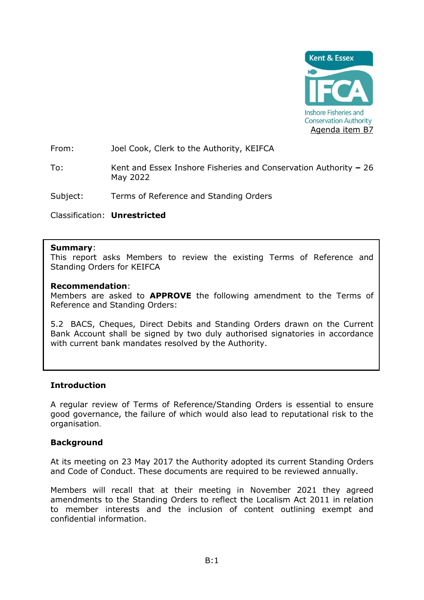

From: Joel Cook, Clerk to the Authority, KEIFCA

To: Kent and Essex Inshore Fisheries and Conservation Authority **–** 26 May 2022

Subject: Terms of Reference and Standing Orders

Classification: **Unrestricted**

## **Summary**:

This report asks Members to review the existing Terms of Reference and Standing Orders for KEIFCA

### **Recommendation**:

Members are asked to **APPROVE** the following amendment to the Terms of Reference and Standing Orders:

5.2 BACS, Cheques, Direct Debits and Standing Orders drawn on the Current Bank Account shall be signed by two duly authorised signatories in accordance with current bank mandates resolved by the Authority.

## **Introduction**

A regular review of Terms of Reference/Standing Orders is essential to ensure good governance, the failure of which would also lead to reputational risk to the organisation.

## **Background**

At its meeting on 23 May 2017 the Authority adopted its current Standing Orders and Code of Conduct. These documents are required to be reviewed annually.

Members will recall that at their meeting in November 2021 they agreed amendments to the Standing Orders to reflect the Localism Act 2011 in relation to member interests and the inclusion of content outlining exempt and confidential information.